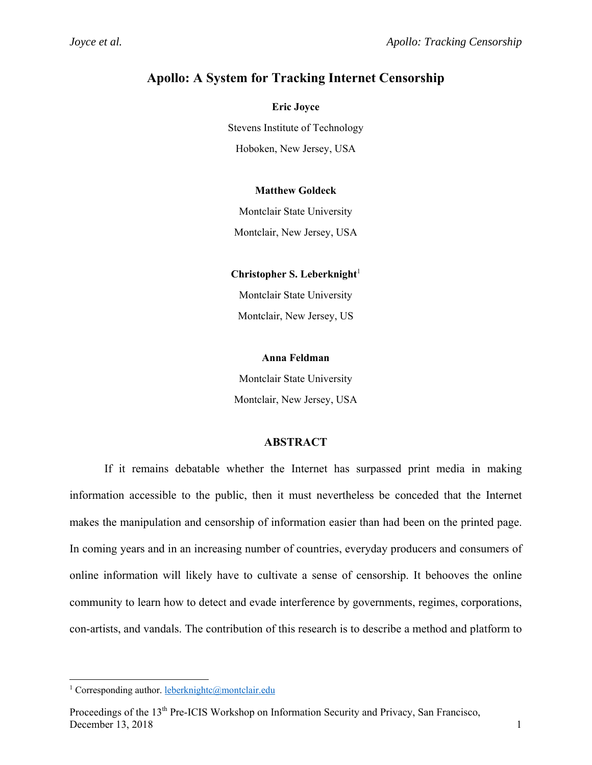# **Apollo: A System for Tracking Internet Censorship**

**Eric Joyce** Stevens Institute of Technology Hoboken, New Jersey, USA

## **Matthew Goldeck**

Montclair State University

Montclair, New Jersey, USA

**Christopher S. Leberknight**<sup>1</sup>

Montclair State University Montclair, New Jersey, US

### **Anna Feldman**

Montclair State University Montclair, New Jersey, USA

## **ABSTRACT**

If it remains debatable whether the Internet has surpassed print media in making information accessible to the public, then it must nevertheless be conceded that the Internet makes the manipulation and censorship of information easier than had been on the printed page. In coming years and in an increasing number of countries, everyday producers and consumers of online information will likely have to cultivate a sense of censorship. It behooves the online community to learn how to detect and evade interference by governments, regimes, corporations, con-artists, and vandals. The contribution of this research is to describe a method and platform to

l

<sup>&</sup>lt;sup>1</sup> Corresponding author. leberknightc@montclair.edu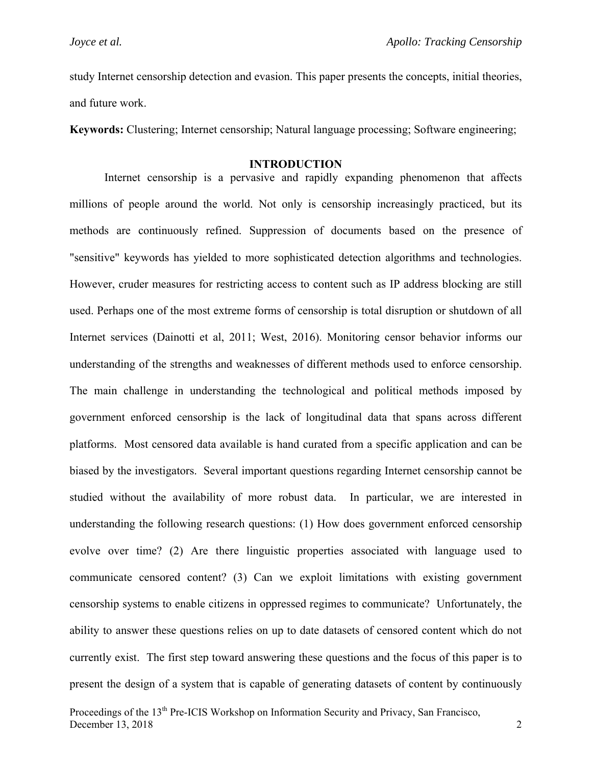study Internet censorship detection and evasion. This paper presents the concepts, initial theories, and future work.

**Keywords:** Clustering; Internet censorship; Natural language processing; Software engineering;

#### **INTRODUCTION**

Internet censorship is a pervasive and rapidly expanding phenomenon that affects millions of people around the world. Not only is censorship increasingly practiced, but its methods are continuously refined. Suppression of documents based on the presence of "sensitive" keywords has yielded to more sophisticated detection algorithms and technologies. However, cruder measures for restricting access to content such as IP address blocking are still used. Perhaps one of the most extreme forms of censorship is total disruption or shutdown of all Internet services (Dainotti et al, 2011; West, 2016). Monitoring censor behavior informs our understanding of the strengths and weaknesses of different methods used to enforce censorship. The main challenge in understanding the technological and political methods imposed by government enforced censorship is the lack of longitudinal data that spans across different platforms. Most censored data available is hand curated from a specific application and can be biased by the investigators. Several important questions regarding Internet censorship cannot be studied without the availability of more robust data. In particular, we are interested in understanding the following research questions: (1) How does government enforced censorship evolve over time? (2) Are there linguistic properties associated with language used to communicate censored content? (3) Can we exploit limitations with existing government censorship systems to enable citizens in oppressed regimes to communicate? Unfortunately, the ability to answer these questions relies on up to date datasets of censored content which do not currently exist. The first step toward answering these questions and the focus of this paper is to present the design of a system that is capable of generating datasets of content by continuously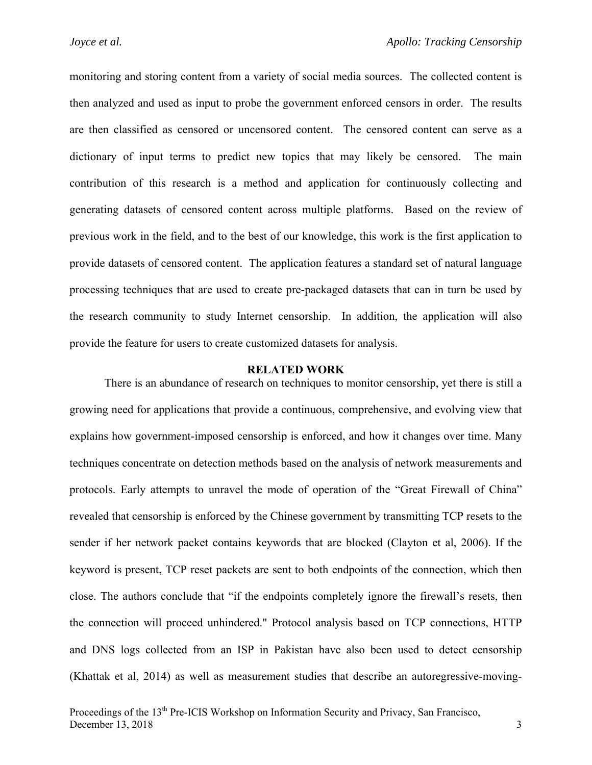monitoring and storing content from a variety of social media sources. The collected content is then analyzed and used as input to probe the government enforced censors in order. The results are then classified as censored or uncensored content. The censored content can serve as a dictionary of input terms to predict new topics that may likely be censored. The main contribution of this research is a method and application for continuously collecting and generating datasets of censored content across multiple platforms. Based on the review of previous work in the field, and to the best of our knowledge, this work is the first application to provide datasets of censored content. The application features a standard set of natural language processing techniques that are used to create pre-packaged datasets that can in turn be used by the research community to study Internet censorship. In addition, the application will also provide the feature for users to create customized datasets for analysis.

#### **RELATED WORK**

There is an abundance of research on techniques to monitor censorship, yet there is still a growing need for applications that provide a continuous, comprehensive, and evolving view that explains how government-imposed censorship is enforced, and how it changes over time. Many techniques concentrate on detection methods based on the analysis of network measurements and protocols. Early attempts to unravel the mode of operation of the "Great Firewall of China" revealed that censorship is enforced by the Chinese government by transmitting TCP resets to the sender if her network packet contains keywords that are blocked (Clayton et al, 2006). If the keyword is present, TCP reset packets are sent to both endpoints of the connection, which then close. The authors conclude that "if the endpoints completely ignore the firewall's resets, then the connection will proceed unhindered." Protocol analysis based on TCP connections, HTTP and DNS logs collected from an ISP in Pakistan have also been used to detect censorship (Khattak et al, 2014) as well as measurement studies that describe an autoregressive-moving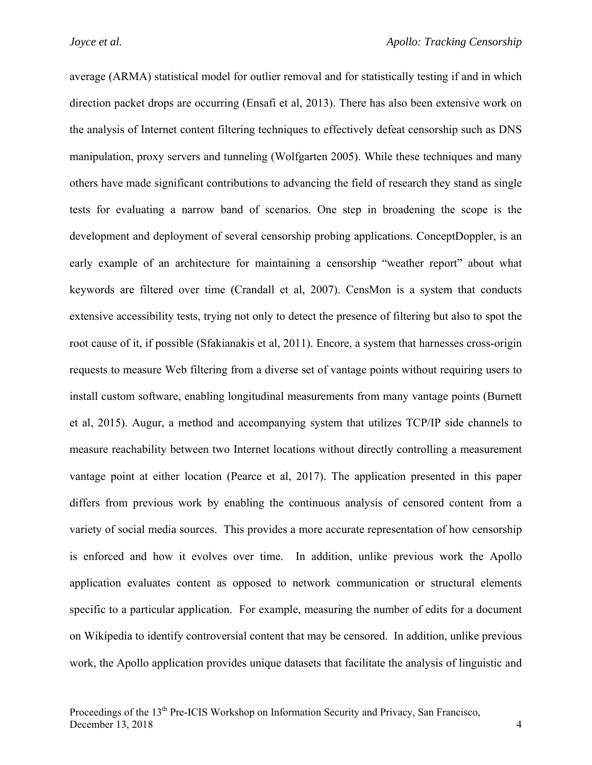average (ARMA) statistical model for outlier removal and for statistically testing if and in which direction packet drops are occurring (Ensafi et al, 2013). There has also been extensive work on the analysis of Internet content filtering techniques to effectively defeat censorship such as DNS manipulation, proxy servers and tunneling (Wolfgarten 2005). While these techniques and many others have made significant contributions to advancing the field of research they stand as single tests for evaluating a narrow band of scenarios. One step in broadening the scope is the development and deployment of several censorship probing applications. ConceptDoppler, is an early example of an architecture for maintaining a censorship "weather report" about what keywords are filtered over time (Crandall et al, 2007). CensMon is a system that conducts extensive accessibility tests, trying not only to detect the presence of filtering but also to spot the root cause of it, if possible (Sfakianakis et al, 2011). Encore, a system that harnesses cross-origin requests to measure Web filtering from a diverse set of vantage points without requiring users to install custom software, enabling longitudinal measurements from many vantage points (Burnett et al, 2015). Augur, a method and accompanying system that utilizes TCP/IP side channels to measure reachability between two Internet locations without directly controlling a measurement vantage point at either location (Pearce et al, 2017). The application presented in this paper differs from previous work by enabling the continuous analysis of censored content from a variety of social media sources. This provides a more accurate representation of how censorship is enforced and how it evolves over time. In addition, unlike previous work the Apollo application evaluates content as opposed to network communication or structural elements specific to a particular application. For example, measuring the number of edits for a document on Wikipedia to identify controversial content that may be censored. In addition, unlike previous work, the Apollo application provides unique datasets that facilitate the analysis of linguistic and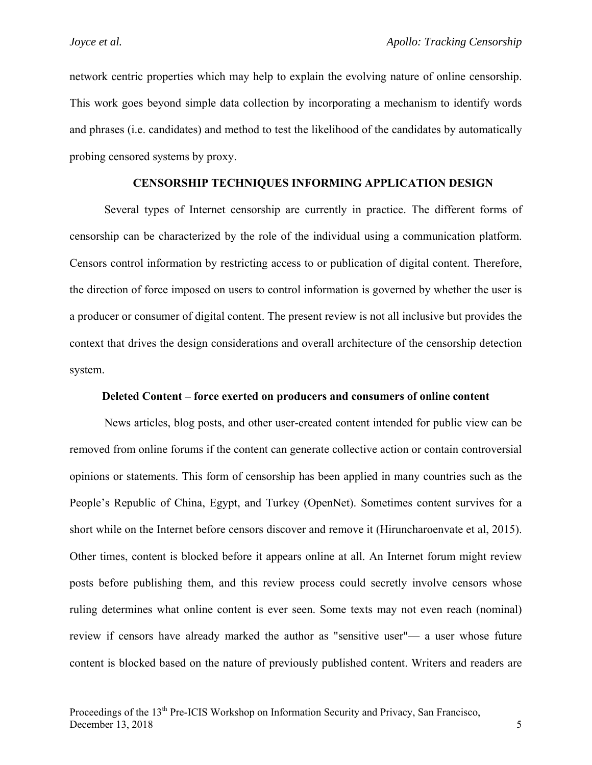network centric properties which may help to explain the evolving nature of online censorship. This work goes beyond simple data collection by incorporating a mechanism to identify words and phrases (i.e. candidates) and method to test the likelihood of the candidates by automatically probing censored systems by proxy.

## **CENSORSHIP TECHNIQUES INFORMING APPLICATION DESIGN**

Several types of Internet censorship are currently in practice. The different forms of censorship can be characterized by the role of the individual using a communication platform. Censors control information by restricting access to or publication of digital content. Therefore, the direction of force imposed on users to control information is governed by whether the user is a producer or consumer of digital content. The present review is not all inclusive but provides the context that drives the design considerations and overall architecture of the censorship detection system.

#### **Deleted Content – force exerted on producers and consumers of online content**

News articles, blog posts, and other user-created content intended for public view can be removed from online forums if the content can generate collective action or contain controversial opinions or statements. This form of censorship has been applied in many countries such as the People's Republic of China, Egypt, and Turkey (OpenNet). Sometimes content survives for a short while on the Internet before censors discover and remove it (Hiruncharoenvate et al, 2015). Other times, content is blocked before it appears online at all. An Internet forum might review posts before publishing them, and this review process could secretly involve censors whose ruling determines what online content is ever seen. Some texts may not even reach (nominal) review if censors have already marked the author as "sensitive user"— a user whose future content is blocked based on the nature of previously published content. Writers and readers are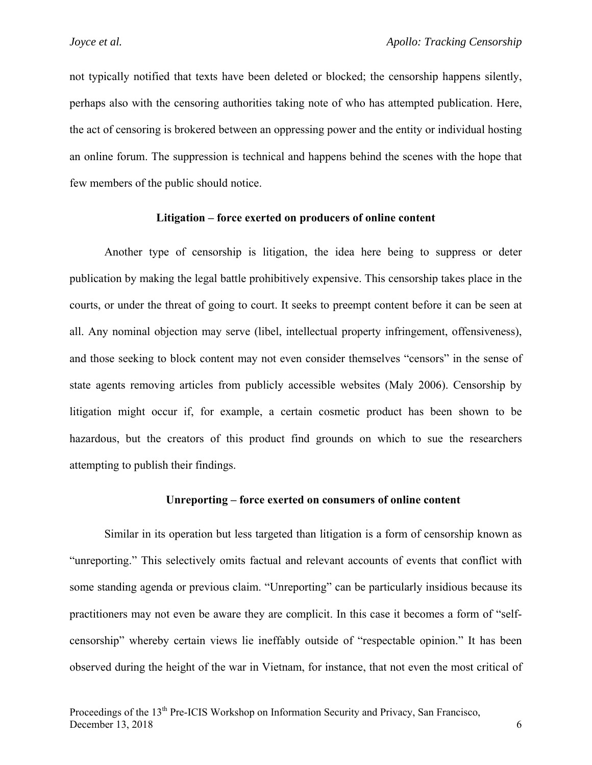not typically notified that texts have been deleted or blocked; the censorship happens silently, perhaps also with the censoring authorities taking note of who has attempted publication. Here, the act of censoring is brokered between an oppressing power and the entity or individual hosting an online forum. The suppression is technical and happens behind the scenes with the hope that few members of the public should notice.

## **Litigation – force exerted on producers of online content**

Another type of censorship is litigation, the idea here being to suppress or deter publication by making the legal battle prohibitively expensive. This censorship takes place in the courts, or under the threat of going to court. It seeks to preempt content before it can be seen at all. Any nominal objection may serve (libel, intellectual property infringement, offensiveness), and those seeking to block content may not even consider themselves "censors" in the sense of state agents removing articles from publicly accessible websites (Maly 2006). Censorship by litigation might occur if, for example, a certain cosmetic product has been shown to be hazardous, but the creators of this product find grounds on which to sue the researchers attempting to publish their findings.

#### **Unreporting – force exerted on consumers of online content**

Similar in its operation but less targeted than litigation is a form of censorship known as "unreporting." This selectively omits factual and relevant accounts of events that conflict with some standing agenda or previous claim. "Unreporting" can be particularly insidious because its practitioners may not even be aware they are complicit. In this case it becomes a form of "selfcensorship" whereby certain views lie ineffably outside of "respectable opinion." It has been observed during the height of the war in Vietnam, for instance, that not even the most critical of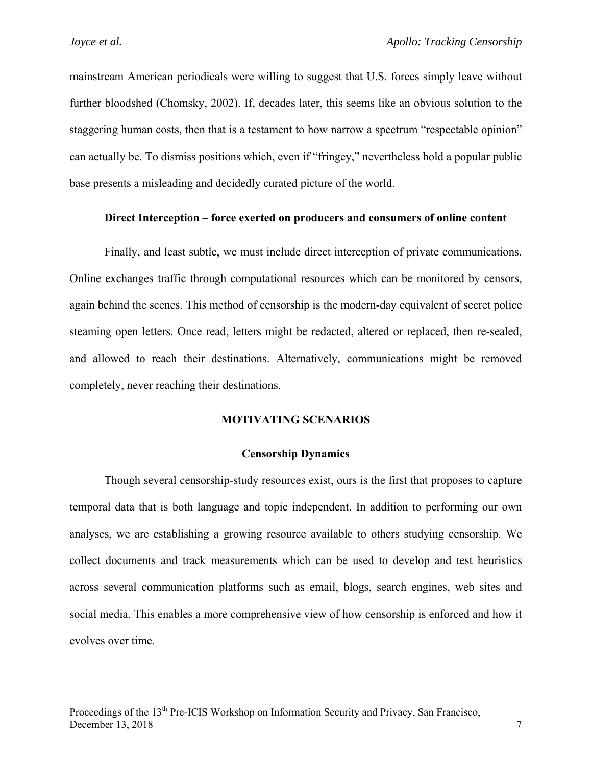mainstream American periodicals were willing to suggest that U.S. forces simply leave without further bloodshed (Chomsky, 2002). If, decades later, this seems like an obvious solution to the staggering human costs, then that is a testament to how narrow a spectrum "respectable opinion" can actually be. To dismiss positions which, even if "fringey," nevertheless hold a popular public base presents a misleading and decidedly curated picture of the world.

## **Direct Interception – force exerted on producers and consumers of online content**

Finally, and least subtle, we must include direct interception of private communications. Online exchanges traffic through computational resources which can be monitored by censors, again behind the scenes. This method of censorship is the modern-day equivalent of secret police steaming open letters. Once read, letters might be redacted, altered or replaced, then re-sealed, and allowed to reach their destinations. Alternatively, communications might be removed completely, never reaching their destinations.

## **MOTIVATING SCENARIOS**

#### **Censorship Dynamics**

Though several censorship-study resources exist, ours is the first that proposes to capture temporal data that is both language and topic independent. In addition to performing our own analyses, we are establishing a growing resource available to others studying censorship. We collect documents and track measurements which can be used to develop and test heuristics across several communication platforms such as email, blogs, search engines, web sites and social media. This enables a more comprehensive view of how censorship is enforced and how it evolves over time.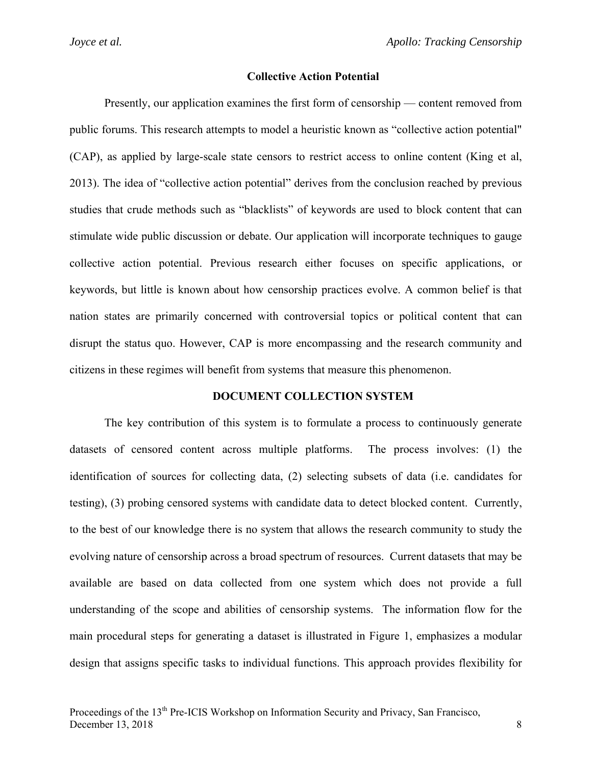#### **Collective Action Potential**

Presently, our application examines the first form of censorship — content removed from public forums. This research attempts to model a heuristic known as "collective action potential" (CAP), as applied by large-scale state censors to restrict access to online content (King et al, 2013). The idea of "collective action potential" derives from the conclusion reached by previous studies that crude methods such as "blacklists" of keywords are used to block content that can stimulate wide public discussion or debate. Our application will incorporate techniques to gauge collective action potential. Previous research either focuses on specific applications, or keywords, but little is known about how censorship practices evolve. A common belief is that nation states are primarily concerned with controversial topics or political content that can disrupt the status quo. However, CAP is more encompassing and the research community and citizens in these regimes will benefit from systems that measure this phenomenon.

#### **DOCUMENT COLLECTION SYSTEM**

The key contribution of this system is to formulate a process to continuously generate datasets of censored content across multiple platforms. The process involves: (1) the identification of sources for collecting data, (2) selecting subsets of data (i.e. candidates for testing), (3) probing censored systems with candidate data to detect blocked content. Currently, to the best of our knowledge there is no system that allows the research community to study the evolving nature of censorship across a broad spectrum of resources. Current datasets that may be available are based on data collected from one system which does not provide a full understanding of the scope and abilities of censorship systems. The information flow for the main procedural steps for generating a dataset is illustrated in Figure 1, emphasizes a modular design that assigns specific tasks to individual functions. This approach provides flexibility for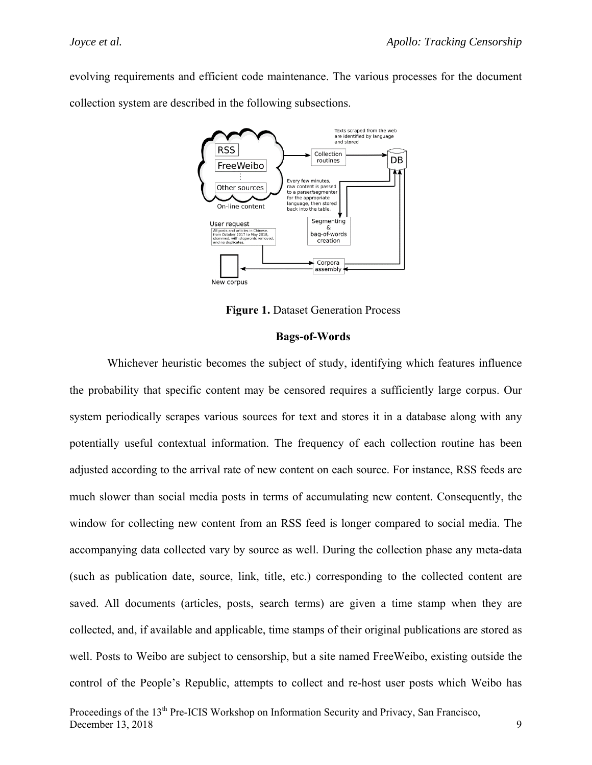evolving requirements and efficient code maintenance. The various processes for the document collection system are described in the following subsections.



**Figure 1. Dataset Generation Process** 

## **Bags-of-Words**

 Whichever heuristic becomes the subject of study, identifying which features influence the probability that specific content may be censored requires a sufficiently large corpus. Our system periodically scrapes various sources for text and stores it in a database along with any potentially useful contextual information. The frequency of each collection routine has been adjusted according to the arrival rate of new content on each source. For instance, RSS feeds are much slower than social media posts in terms of accumulating new content. Consequently, the window for collecting new content from an RSS feed is longer compared to social media. The accompanying data collected vary by source as well. During the collection phase any meta-data (such as publication date, source, link, title, etc.) corresponding to the collected content are saved. All documents (articles, posts, search terms) are given a time stamp when they are collected, and, if available and applicable, time stamps of their original publications are stored as well. Posts to Weibo are subject to censorship, but a site named FreeWeibo, existing outside the control of the People's Republic, attempts to collect and re-host user posts which Weibo has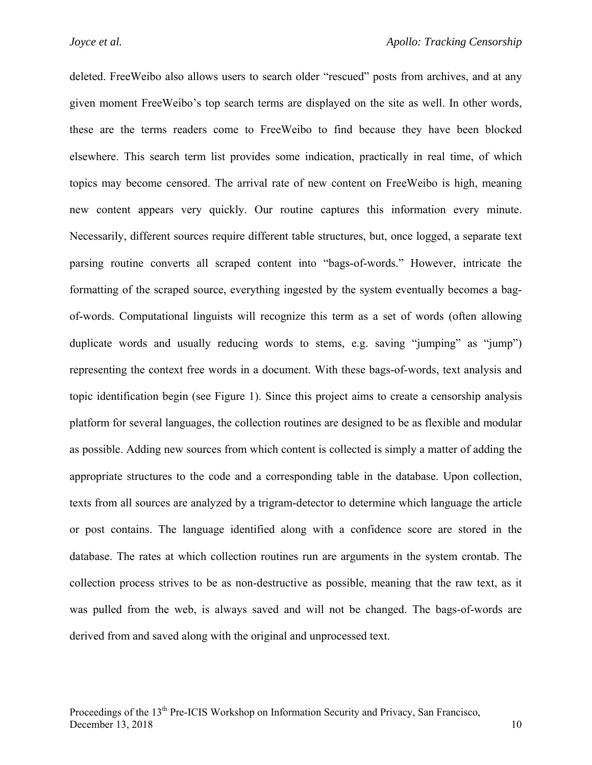deleted. FreeWeibo also allows users to search older "rescued" posts from archives, and at any given moment FreeWeibo's top search terms are displayed on the site as well. In other words, these are the terms readers come to FreeWeibo to find because they have been blocked elsewhere. This search term list provides some indication, practically in real time, of which topics may become censored. The arrival rate of new content on FreeWeibo is high, meaning new content appears very quickly. Our routine captures this information every minute. Necessarily, different sources require different table structures, but, once logged, a separate text parsing routine converts all scraped content into "bags-of-words." However, intricate the formatting of the scraped source, everything ingested by the system eventually becomes a bagof-words. Computational linguists will recognize this term as a set of words (often allowing duplicate words and usually reducing words to stems, e.g. saving "jumping" as "jump") representing the context free words in a document. With these bags-of-words, text analysis and topic identification begin (see Figure 1). Since this project aims to create a censorship analysis platform for several languages, the collection routines are designed to be as flexible and modular as possible. Adding new sources from which content is collected is simply a matter of adding the appropriate structures to the code and a corresponding table in the database. Upon collection, texts from all sources are analyzed by a trigram-detector to determine which language the article or post contains. The language identified along with a confidence score are stored in the database. The rates at which collection routines run are arguments in the system crontab. The collection process strives to be as non-destructive as possible, meaning that the raw text, as it was pulled from the web, is always saved and will not be changed. The bags-of-words are derived from and saved along with the original and unprocessed text.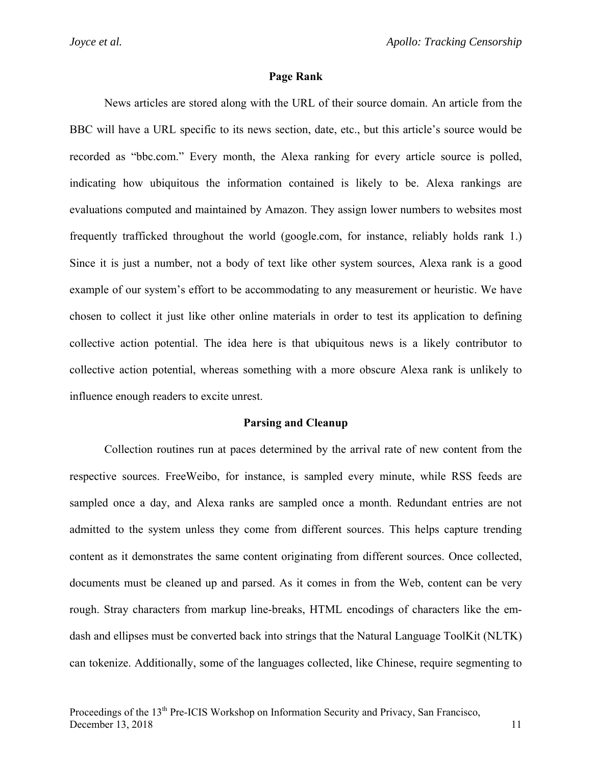#### **Page Rank**

News articles are stored along with the URL of their source domain. An article from the BBC will have a URL specific to its news section, date, etc., but this article's source would be recorded as "bbc.com." Every month, the Alexa ranking for every article source is polled, indicating how ubiquitous the information contained is likely to be. Alexa rankings are evaluations computed and maintained by Amazon. They assign lower numbers to websites most frequently trafficked throughout the world (google.com, for instance, reliably holds rank 1.) Since it is just a number, not a body of text like other system sources, Alexa rank is a good example of our system's effort to be accommodating to any measurement or heuristic. We have chosen to collect it just like other online materials in order to test its application to defining collective action potential. The idea here is that ubiquitous news is a likely contributor to collective action potential, whereas something with a more obscure Alexa rank is unlikely to influence enough readers to excite unrest.

#### **Parsing and Cleanup**

Collection routines run at paces determined by the arrival rate of new content from the respective sources. FreeWeibo, for instance, is sampled every minute, while RSS feeds are sampled once a day, and Alexa ranks are sampled once a month. Redundant entries are not admitted to the system unless they come from different sources. This helps capture trending content as it demonstrates the same content originating from different sources. Once collected, documents must be cleaned up and parsed. As it comes in from the Web, content can be very rough. Stray characters from markup line-breaks, HTML encodings of characters like the emdash and ellipses must be converted back into strings that the Natural Language ToolKit (NLTK) can tokenize. Additionally, some of the languages collected, like Chinese, require segmenting to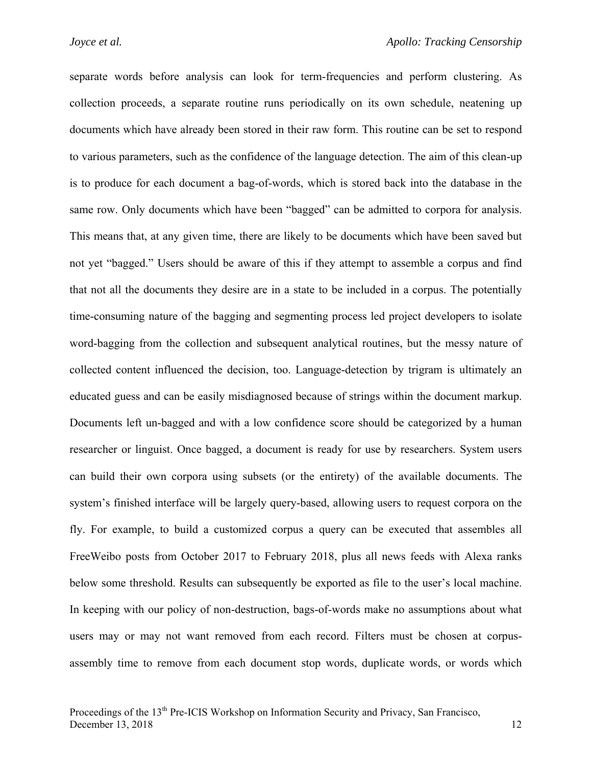separate words before analysis can look for term-frequencies and perform clustering. As collection proceeds, a separate routine runs periodically on its own schedule, neatening up documents which have already been stored in their raw form. This routine can be set to respond to various parameters, such as the confidence of the language detection. The aim of this clean-up is to produce for each document a bag-of-words, which is stored back into the database in the same row. Only documents which have been "bagged" can be admitted to corpora for analysis. This means that, at any given time, there are likely to be documents which have been saved but not yet "bagged." Users should be aware of this if they attempt to assemble a corpus and find that not all the documents they desire are in a state to be included in a corpus. The potentially time-consuming nature of the bagging and segmenting process led project developers to isolate word-bagging from the collection and subsequent analytical routines, but the messy nature of collected content influenced the decision, too. Language-detection by trigram is ultimately an educated guess and can be easily misdiagnosed because of strings within the document markup. Documents left un-bagged and with a low confidence score should be categorized by a human researcher or linguist. Once bagged, a document is ready for use by researchers. System users can build their own corpora using subsets (or the entirety) of the available documents. The system's finished interface will be largely query-based, allowing users to request corpora on the fly. For example, to build a customized corpus a query can be executed that assembles all FreeWeibo posts from October 2017 to February 2018, plus all news feeds with Alexa ranks below some threshold. Results can subsequently be exported as file to the user's local machine. In keeping with our policy of non-destruction, bags-of-words make no assumptions about what users may or may not want removed from each record. Filters must be chosen at corpusassembly time to remove from each document stop words, duplicate words, or words which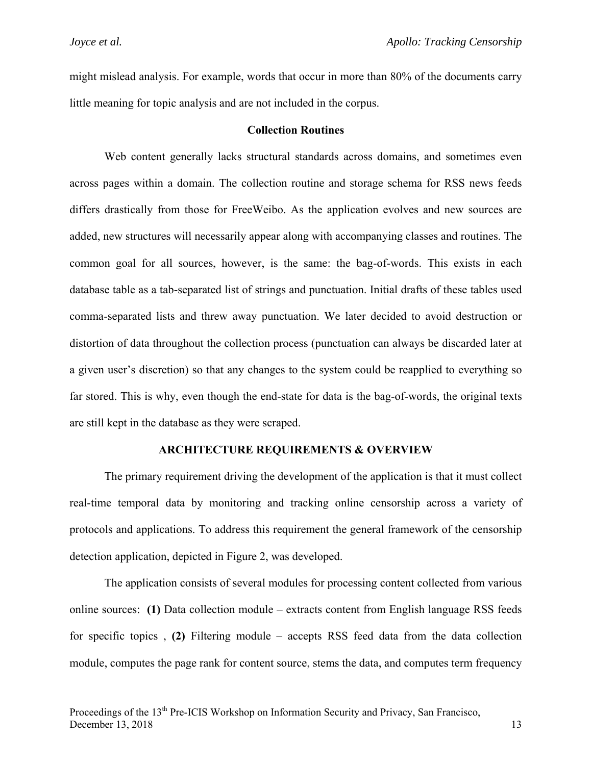might mislead analysis. For example, words that occur in more than 80% of the documents carry little meaning for topic analysis and are not included in the corpus.

## **Collection Routines**

Web content generally lacks structural standards across domains, and sometimes even across pages within a domain. The collection routine and storage schema for RSS news feeds differs drastically from those for FreeWeibo. As the application evolves and new sources are added, new structures will necessarily appear along with accompanying classes and routines. The common goal for all sources, however, is the same: the bag-of-words. This exists in each database table as a tab-separated list of strings and punctuation. Initial drafts of these tables used comma-separated lists and threw away punctuation. We later decided to avoid destruction or distortion of data throughout the collection process (punctuation can always be discarded later at a given user's discretion) so that any changes to the system could be reapplied to everything so far stored. This is why, even though the end-state for data is the bag-of-words, the original texts are still kept in the database as they were scraped.

#### **ARCHITECTURE REQUIREMENTS & OVERVIEW**

The primary requirement driving the development of the application is that it must collect real-time temporal data by monitoring and tracking online censorship across a variety of protocols and applications. To address this requirement the general framework of the censorship detection application, depicted in Figure 2, was developed.

The application consists of several modules for processing content collected from various online sources: **(1)** Data collection module – extracts content from English language RSS feeds for specific topics , **(2)** Filtering module – accepts RSS feed data from the data collection module, computes the page rank for content source, stems the data, and computes term frequency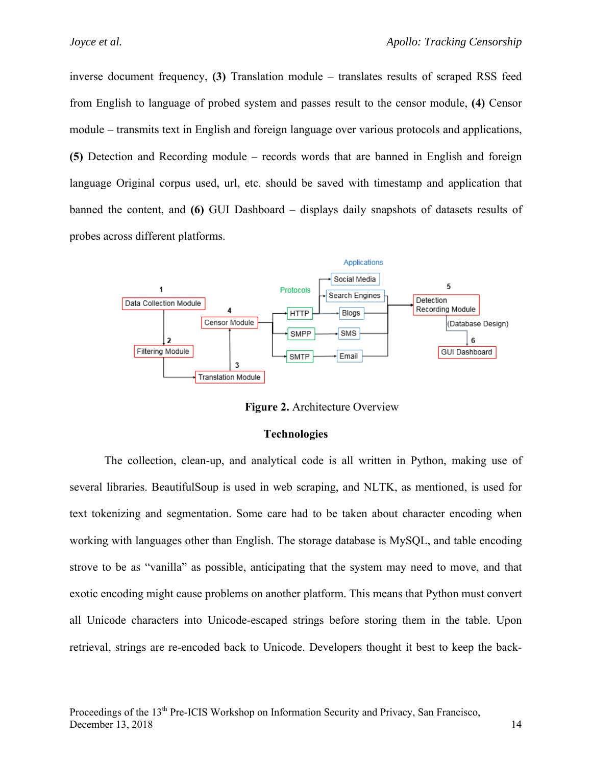inverse document frequency, **(3)** Translation module – translates results of scraped RSS feed from English to language of probed system and passes result to the censor module, **(4)** Censor module – transmits text in English and foreign language over various protocols and applications, **(5)** Detection and Recording module – records words that are banned in English and foreign language Original corpus used, url, etc. should be saved with timestamp and application that banned the content, and **(6)** GUI Dashboard – displays daily snapshots of datasets results of probes across different platforms.



**Figure 2.** Architecture Overview

#### **Technologies**

The collection, clean-up, and analytical code is all written in Python, making use of several libraries. BeautifulSoup is used in web scraping, and NLTK, as mentioned, is used for text tokenizing and segmentation. Some care had to be taken about character encoding when working with languages other than English. The storage database is MySQL, and table encoding strove to be as "vanilla" as possible, anticipating that the system may need to move, and that exotic encoding might cause problems on another platform. This means that Python must convert all Unicode characters into Unicode-escaped strings before storing them in the table. Upon retrieval, strings are re-encoded back to Unicode. Developers thought it best to keep the back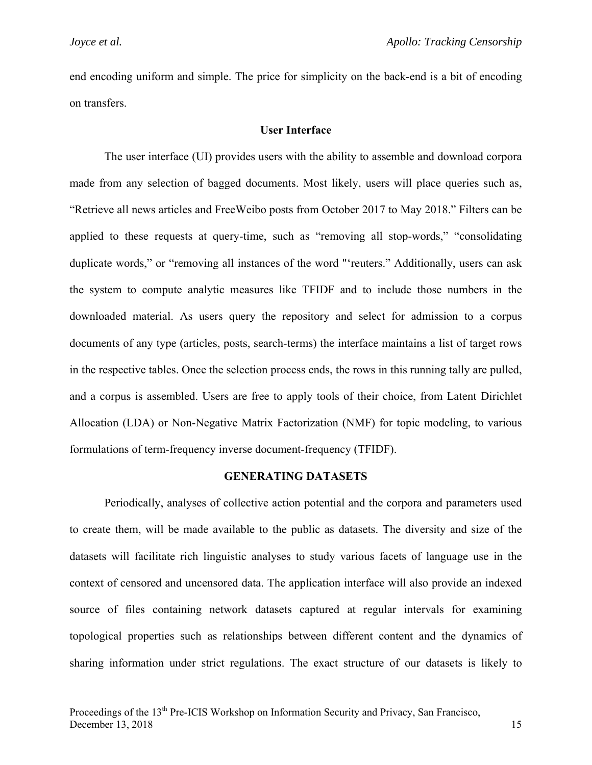end encoding uniform and simple. The price for simplicity on the back-end is a bit of encoding on transfers.

## **User Interface**

The user interface (UI) provides users with the ability to assemble and download corpora made from any selection of bagged documents. Most likely, users will place queries such as, "Retrieve all news articles and FreeWeibo posts from October 2017 to May 2018." Filters can be applied to these requests at query-time, such as "removing all stop-words," "consolidating duplicate words," or "removing all instances of the word "'reuters." Additionally, users can ask the system to compute analytic measures like TFIDF and to include those numbers in the downloaded material. As users query the repository and select for admission to a corpus documents of any type (articles, posts, search-terms) the interface maintains a list of target rows in the respective tables. Once the selection process ends, the rows in this running tally are pulled, and a corpus is assembled. Users are free to apply tools of their choice, from Latent Dirichlet Allocation (LDA) or Non-Negative Matrix Factorization (NMF) for topic modeling, to various formulations of term-frequency inverse document-frequency (TFIDF).

#### **GENERATING DATASETS**

Periodically, analyses of collective action potential and the corpora and parameters used to create them, will be made available to the public as datasets. The diversity and size of the datasets will facilitate rich linguistic analyses to study various facets of language use in the context of censored and uncensored data. The application interface will also provide an indexed source of files containing network datasets captured at regular intervals for examining topological properties such as relationships between different content and the dynamics of sharing information under strict regulations. The exact structure of our datasets is likely to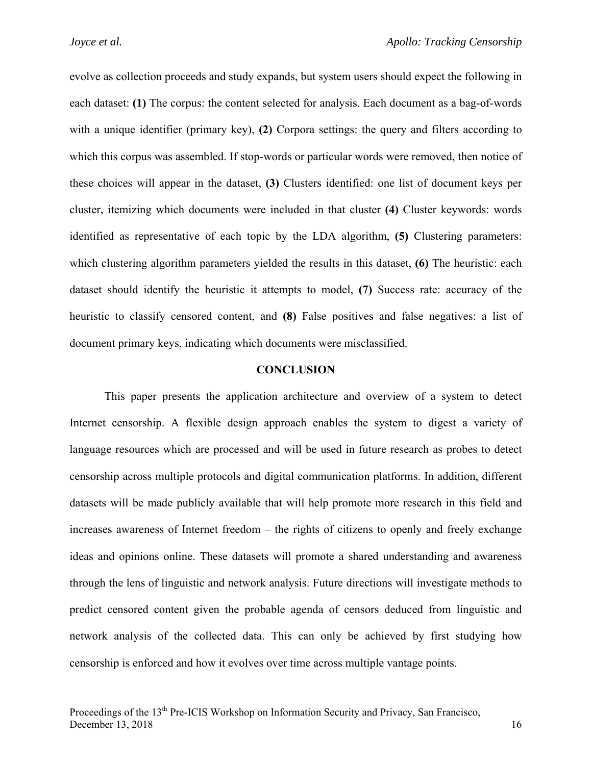evolve as collection proceeds and study expands, but system users should expect the following in each dataset: **(1)** The corpus: the content selected for analysis. Each document as a bag-of-words with a unique identifier (primary key), **(2)** Corpora settings: the query and filters according to which this corpus was assembled. If stop-words or particular words were removed, then notice of these choices will appear in the dataset, **(3)** Clusters identified: one list of document keys per cluster, itemizing which documents were included in that cluster **(4)** Cluster keywords: words identified as representative of each topic by the LDA algorithm, **(5)** Clustering parameters: which clustering algorithm parameters yielded the results in this dataset, **(6)** The heuristic: each dataset should identify the heuristic it attempts to model, **(7)** Success rate: accuracy of the heuristic to classify censored content, and **(8)** False positives and false negatives: a list of document primary keys, indicating which documents were misclassified.

#### **CONCLUSION**

This paper presents the application architecture and overview of a system to detect Internet censorship. A flexible design approach enables the system to digest a variety of language resources which are processed and will be used in future research as probes to detect censorship across multiple protocols and digital communication platforms. In addition, different datasets will be made publicly available that will help promote more research in this field and increases awareness of Internet freedom – the rights of citizens to openly and freely exchange ideas and opinions online. These datasets will promote a shared understanding and awareness through the lens of linguistic and network analysis. Future directions will investigate methods to predict censored content given the probable agenda of censors deduced from linguistic and network analysis of the collected data. This can only be achieved by first studying how censorship is enforced and how it evolves over time across multiple vantage points.